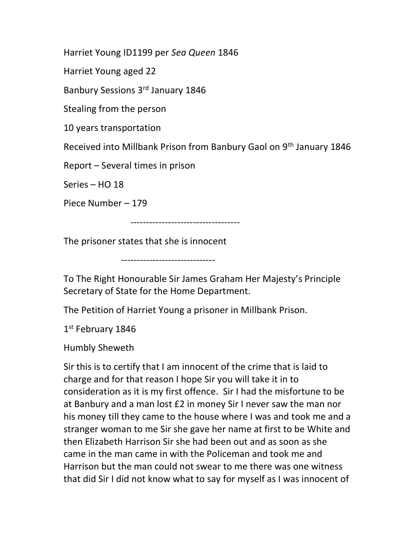Harriet Young ID1199 per Sea Queen 1846

Harriet Young aged 22

Banbury Sessions 3rd January 1846

Stealing from the person

10 years transportation

Received into Millbank Prison from Banbury Gaol on 9th January 1846

Report – Several times in prison

Series – HO 18

Piece Number – 179

-----------------------------------

The prisoner states that she is innocent

------------------------------

To The Right Honourable Sir James Graham Her Majesty's Principle Secretary of State for the Home Department.

The Petition of Harriet Young a prisoner in Millbank Prison.

1st February 1846

Humbly Sheweth

Sir this is to certify that I am innocent of the crime that is laid to charge and for that reason I hope Sir you will take it in to consideration as it is my first offence. Sir I had the misfortune to be at Banbury and a man lost £2 in money Sir I never saw the man nor his money till they came to the house where I was and took me and a stranger woman to me Sir she gave her name at first to be White and then Elizabeth Harrison Sir she had been out and as soon as she came in the man came in with the Policeman and took me and Harrison but the man could not swear to me there was one witness that did Sir I did not know what to say for myself as I was innocent of